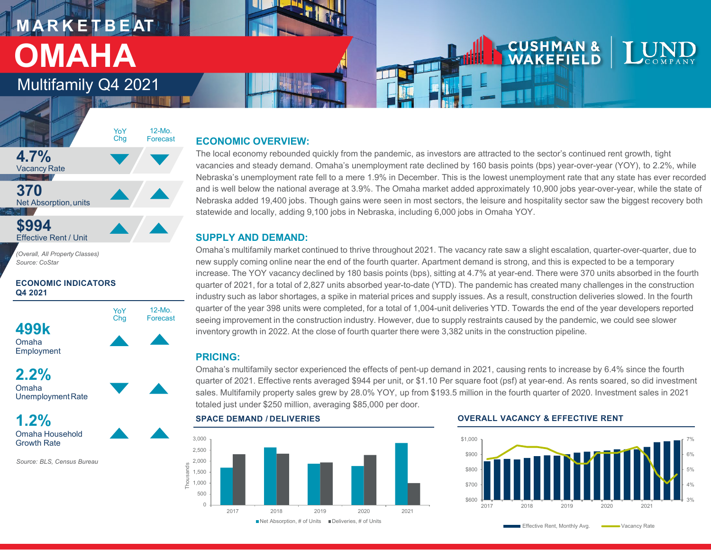# **M A R K E T B E AT OMAHA**

### Multifamily Q4 2021



*(Overall, All Property Classes) Source: CoStar*

**ECONOMIC INDICATORS Q4 2021**



**2.2%** Omaha



**1.2%** Omaha Household Growth Rate

*Source: BLS, Census Bureau* 

### **ECONOMIC OVERVIEW:**

The local economy rebounded quickly from the pandemic, as investors are attracted to the sector's continued rent growth, tight vacancies and steady demand. Omaha's unemployment rate declined by 160 basis points (bps) year-over-year (YOY), to 2.2%, while Nebraska's unemployment rate fell to a mere 1.9% in December. This is the lowest unemployment rate that any state has ever recorded and is well below the national average at 3.9%. The Omaha market added approximately 10,900 jobs year-over-year, while the state of Nebraska added 19,400 jobs. Though gains were seen in most sectors, the leisure and hospitality sector saw the biggest recovery both statewide and locally, adding 9,100 jobs in Nebraska, including 6,000 jobs in Omaha YOY.

### **SUPPLY AND DEMAND:**

Omaha's multifamily market continued to thrive throughout 2021. The vacancy rate saw a slight escalation, quarter-over-quarter, due to new supply coming online near the end of the fourth quarter. Apartment demand is strong, and this is expected to be a temporary increase. The YOY vacancy declined by 180 basis points (bps), sitting at 4.7% at year-end. There were 370 units absorbed in the fourth quarter of 2021, for a total of 2,827 units absorbed year-to-date (YTD). The pandemic has created many challenges in the construction industry such as labor shortages, a spike in material prices and supply issues. As a result, construction deliveries slowed. In the fourth quarter of the year 398 units were completed, for a total of 1,004-unit deliveries YTD. Towards the end of the year developers reported seeing improvement in the construction industry. However, due to supply restraints caused by the pandemic, we could see slower inventory growth in 2022. At the close of fourth quarter there were 3,382 units in the construction pipeline.

### **PRICING:**

Omaha's multifamily sector experienced the effects of pent-up demand in 2021, causing rents to increase by 6.4% since the fourth quarter of 2021. Effective rents averaged \$944 per unit, or \$1.10 Per square foot (psf) at year-end. As rents soared, so did investment sales. Multifamily property sales grew by 28.0% YOY, up from \$193.5 million in the fourth quarter of 2020. Investment sales in 2021 totaled just under \$250 million, averaging \$85,000 per door.



### **SPACE DEMAND / DELIVERIES OVERALL VACANCY & EFFECTIVE RENT**

**CUSHMAN &** WAKEFIELD



Effective Rent, Monthly Avg. **Common State** Vacancy Rate